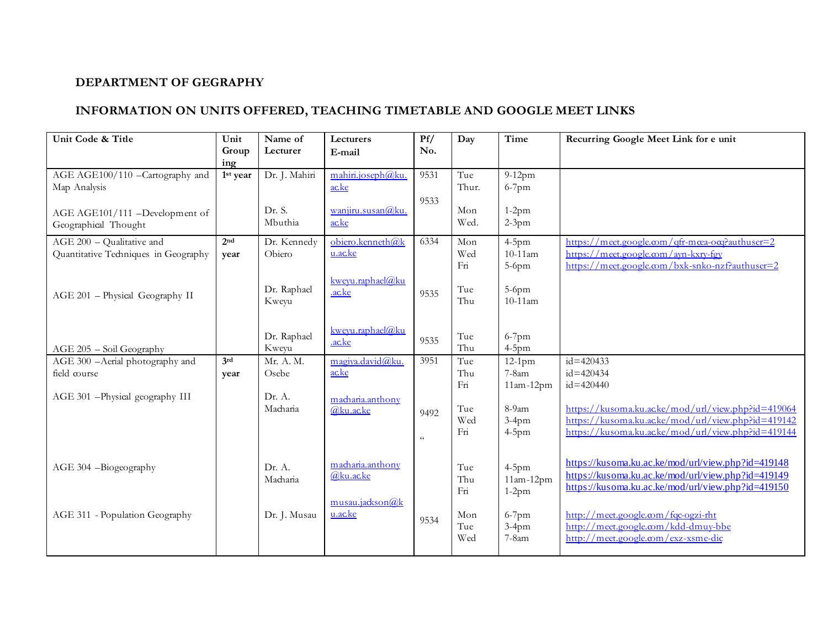## **DEPARTMENT OF GEGRAPHY**

## **INFORMATION ON UNITS OFFERED, TEACHING TIMETABLE AND GOOGLE MEET LINKS**

| Unit Code & Title                                                 | Unit<br>Group           | Name of<br>Lecturer   | Lecturers<br>E-mail           | Pf/<br>No.             | Day               | Time                                | Recurring Google Meet Link for e unit                                                                                                                          |
|-------------------------------------------------------------------|-------------------------|-----------------------|-------------------------------|------------------------|-------------------|-------------------------------------|----------------------------------------------------------------------------------------------------------------------------------------------------------------|
| AGE AGE100/110 -Cartography and<br>Map Analysis                   | ing<br>1st year         | Dr. J. Mahiri         | mahiri.joseph@ku.<br>acke     | 9531<br>9533           | Tue<br>Thur.      | $9-12$ pm<br>$6-7$ pm               |                                                                                                                                                                |
| AGE AGE101/111 -Development of<br>Geographical Thought            |                         | Dr. S.<br>Mbuthia     | wanjiru.susan@ku.<br>acke     |                        | Mon<br>Wed.       | $1-2pm$<br>$2-3pm$                  |                                                                                                                                                                |
| AGE 200 - Qualitative and<br>Quantitative Techniques in Geography | 2 <sub>nd</sub><br>year | Dr. Kennedy<br>Obiero | obiero.kenneth@k<br>u.ac.ke   | 6334                   | Mon<br>Wed<br>Fn  | $4-5$ pm<br>$10-11$ am<br>$5-6$ pm  | https://meet.google.com/qfr-mcea-ocq?authuser=2<br>https://meet.google.com/ayn-kxry-fgy<br>https://meet.google.com/bxk-snko-nzf?authuser=2                     |
| AGE 201 - Physical Geography II                                   |                         | Dr. Raphael<br>Kweyu  | kweyu.raphael@ku<br>.ac.ke    | 9535                   | Tue<br>Thu        | 5-6pm<br>$10-11$ am                 |                                                                                                                                                                |
| AGE 205 - Soil Geography                                          |                         | Dr. Raphael<br>Kweyu  | kweyu.raphael@ku<br>.ac.ke    | 9535                   | Tue<br>Thu        | $6-7$ pm<br>$4-5$ pm                |                                                                                                                                                                |
| AGE 300 -Aerial photography and<br>field course                   | 3rd<br>year             | Mr. A. M.<br>Osebe    | magiya.david@ku.<br>acke      | 3951                   | Tue<br>Thu<br>Fn  | $12-1$ pm<br>$7-8am$<br>$11am-12pm$ | $id = 420433$<br>$id = 420434$<br>$id = 420440$                                                                                                                |
| AGE 301 - Physical geography III                                  |                         | Dr. A.<br>Macharia    | macharia.anthony<br>@ku.ac.ke | 9492<br>$\zeta\,\zeta$ | Tue<br>Wed<br>Fn  | 8-9am<br>$3-4$ pm<br>$4-5$ pm       | https://kusoma.ku.acke/mod/url/view.php?id=419064<br>https://kusoma.ku.acke/mod/url/view.php?id=419142<br>https://kusoma.ku.acke/mod/url/view.php?id=419144    |
| AGE 304 -Biogeography                                             |                         | Dr. A.<br>Macharia    | macharia.anthony<br>@ku.acke  |                        | Tue<br>Thu<br>Fn  | $4-5$ pm<br>$11am-12pm$<br>$1-2pm$  | https://kusoma.ku.ac.ke/mod/url/view.php?id=419148<br>https://kusoma.ku.ac.ke/mod/url/view.php?id=419149<br>https://kusoma.ku.ac.ke/mod/url/view.php?id=419150 |
| AGE 311 - Population Geography                                    |                         | Dr. J. Musau          | musau.jadsson@k<br>u.ac.ke    | 9534                   | Mon<br>Tue<br>Wed | $6-7$ pm<br>$3-4pm$<br>7-8am        | http://meet.google.com/fqc-ogzi-rht<br>http://meet.google.com/kdd-dmuy-bbe<br>http://meet.google.com/exz-xsme-dic                                              |